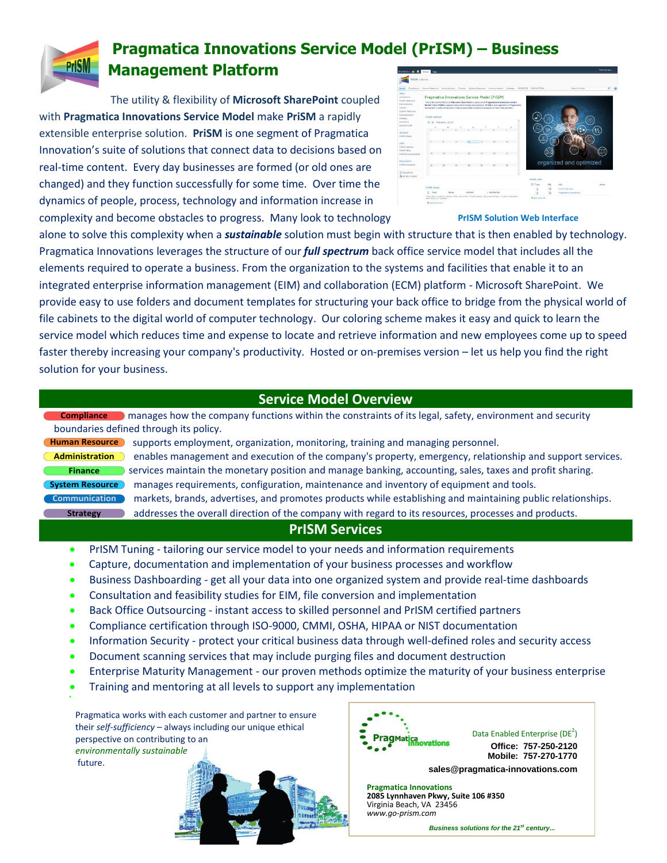

## **Pragmatica Innovations Service Model (PrISM) – Business Management Platform**

The utility & flexibility of **Microsoft SharePoint** coupled with **Pragmatica Innovations Service Model** make **PriSM** a rapidly extensible enterprise solution. **PriSM** is one segment of Pragmatica Innovation's suite of solutions that connect data to decisions based on real-time content. Every day businesses are formed (or old ones are changed) and they function successfully for some time. Over time the dynamics of people, process, technology and information increase in complexity and become obstacles to progress. Many look to technology

| Stricture of E Govern Page                                                                                                                                                                                                                                                                                                                               |                                                                         |                                  |                                                                                                                                                                                                                                                                                                                                                                |                                  |    |                     |                       |          |                                                        |                 |                                                                | <b>David Submann's</b> |
|----------------------------------------------------------------------------------------------------------------------------------------------------------------------------------------------------------------------------------------------------------------------------------------------------------------------------------------------------------|-------------------------------------------------------------------------|----------------------------------|----------------------------------------------------------------------------------------------------------------------------------------------------------------------------------------------------------------------------------------------------------------------------------------------------------------------------------------------------------------|----------------------------------|----|---------------------|-----------------------|----------|--------------------------------------------------------|-----------------|----------------------------------------------------------------|------------------------|
| PGSM + Home                                                                                                                                                                                                                                                                                                                                              |                                                                         |                                  |                                                                                                                                                                                                                                                                                                                                                                |                                  |    |                     |                       |          |                                                        |                 |                                                                |                        |
| Oimatance<br><b>Harrys</b><br>Sites<br>Congletos<br>Human Ensource:<br>Administration<br>Feinhist.<br>Gustavy Bancurote<br>Communication<br>Strategy<br><b>BROXICTS</b><br>PRODUCTION<br>Libraries<br>INSSN Library<br>Lists<br><b>PICEN Calendar</b><br><b>PHOENE TANDER</b><br><b>Pricer Announcements</b><br>Distousienes<br><b>Priday Disturbion</b> | Hurran Bestonde<br>Priton Calendar<br>+ 4: February, 2015<br>$\epsilon$ | Administration 1<br>$\mathbf{u}$ | <b>Pinance</b><br>Pragmatica Innovations Service Model (PrISM)<br>The utility & flexibility of Microsoft SharePoint coupled with Pragmatica Innovations Service<br>Model make PriSM a rapidly extensible enterprise solution. PriSM is one segment of Progratica<br>Innovation's suita of selutions that connect data to-decisions based on real time content. | Exitien Resource<br>$\mathbf{H}$ | 12 | Communication<br>13 | Diredeley<br>s<br>1.4 | PROBLETS | PRODUCTION                                             |                 | <b>Shares this city</b>                                        | ø                      |
|                                                                                                                                                                                                                                                                                                                                                          | 15.7<br>22 23                                                           | 38                               | T7<br>24                                                                                                                                                                                                                                                                                                                                                       | <b>T</b> E<br>×                  | 71 | 20                  | 33                    |          |                                                        |                 | organized and optimized                                        |                        |
| <b>W</b> Ascycle Bin<br>A All Gita Content                                                                                                                                                                                                                                                                                                               | PISM Library<br>n<br>Type<br>slab "has" or "chinas"                     |                                  | Marrie<br>There are no here to show in the year of the "H1SM Library" document library. To add a new item,                                                                                                                                                                                                                                                     | NuMBed                           |    | <b>Hoding By</b>    |                       |          | <b>PriSM Links</b><br>27 Type<br><b>O</b> Add new link | 5.490<br>s<br>a | <b>URL</b><br><b>PriSht mad</b> Site<br>Pregmetica Innovations | <b>NSERS</b>           |

## **PrISM Solution Web Interface**

alone to solve this complexity when a *sustainable* solution must begin with structure that is then enabled by technology. Pragmatica Innovations leverages the structure of our *full spectrum* back office service model that includes all the elements required to operate a business. From the organization to the systems and facilities that enable it to an integrated enterprise information management (EIM) and collaboration (ECM) platform - Microsoft SharePoint. We provide easy to use folders and document templates for structuring your back office to bridge from the physical world of file cabinets to the digital world of computer technology. Our coloring scheme makes it easy and quick to learn the service model which reduces time and expense to locate and retrieve information and new employees come up to speed faster thereby increasing your company's productivity. Hosted or on-premises version – let us help you find the right solution for your business.

## **Service Model Overview**

 manages how the company functions within the constraints of its legal, safety, environment and security **Compliance** boundaries defined through its policy.

**Administration Finance System Resource Strategy**

.

**Human Resource** supports employment, organization, monitoring, training and managing personnel. enables management and execution of the company's property, emergency, relationship and support services. Services maintain the monetary position and manage banking, accounting, sales, taxes and profit sharing. manages requirements, configuration, maintenance and inventory of equipment and tools. **Communication** markets, brands, advertises, and promotes products while establishing and maintaining public relationships. addresses the overall direction of the company with regard to its resources, processes and products.

## **PrISM Services**

- **PrISM Tuning tailoring our service model to your needs and information requirements**
- Capture, documentation and implementation of your business processes and workflow
- Business Dashboarding get all your data into one organized system and provide real-time dashboards
- Consultation and feasibility studies for EIM, file conversion and implementation
- Back Office Outsourcing instant access to skilled personnel and PrISM certified partners
- Compliance certification through ISO-9000, CMMI, OSHA, HIPAA or NIST documentation
- Information Security protect your critical business data through well-defined roles and security access
- Document scanning services that may include purging files and document destruction
- Enterprise Maturity Management our proven methods optimize the maturity of your business enterprise
- Training and mentoring at all levels to support any implementation

Pragmatica works with each customer and partner to ensure their *self-sufficiency* – always including our unique ethical perspective on contributing to an *environmentally sustainable* future. **EXALUSE THE CONSTRANT CONSTRANT AND CONSTRANT AND AND CONSTRANT AND AND CONSTRANT AND CONSTRANT AND CONSTRANT AND CONSTRANT AND CONSTRANT AND CONSTRANT AND CONSTRANT AND CONSTRANT AND CONSTRANT AND CONSTRANT AND CONSTRANT** 



Data Enabled Enterprise (DE<sup>2</sup>) **Office: 757-250-2120 Mobile: 757-270-1770**

**sales@pragmatica-innovations.com**

**Pragmatica Innovations 2085 Lynnhaven Pkwy, Suite 106 #350** Virginia Beach, VA 23456 *www.go-prism.com*